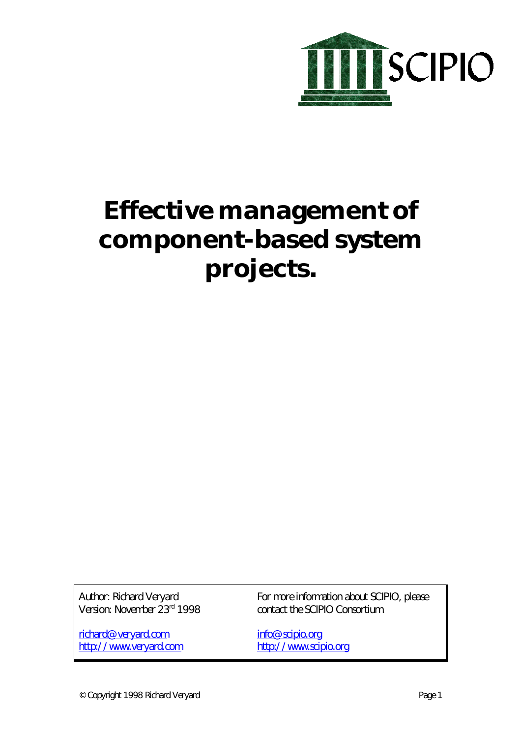

# **Effective management of component-based system projects.**

Author: Richard Veryard Version: November 23rd 1998

richard@veryard.com http://www.veryard.com For more information about SCIPIO, please contact the SCIPIO Consortium.

info@scipio.org http://www.scipio.org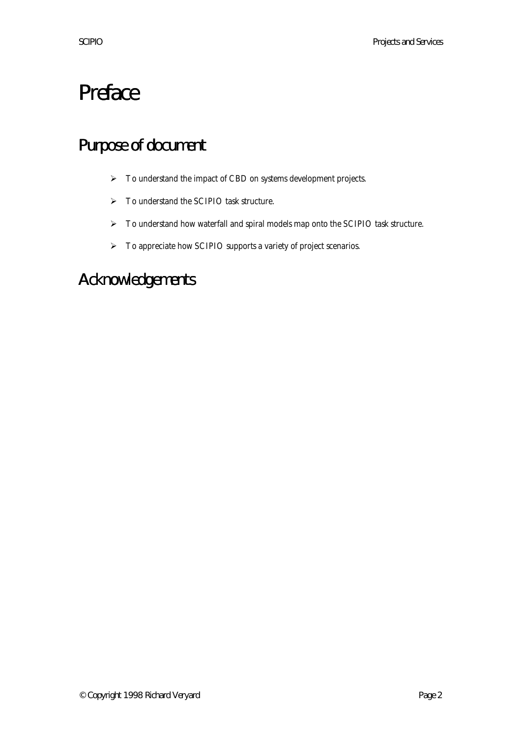## Preface

### Purpose of document

- $\blacktriangleright$  To understand the impact of CBD on systems development projects.
- $\triangleright$  To understand the SCIPIO task structure.
- $\triangleright$  To understand how waterfall and spiral models map onto the SCIPIO task structure.
- > To appreciate how SCIPIO supports a variety of project scenarios.

### Acknowledgements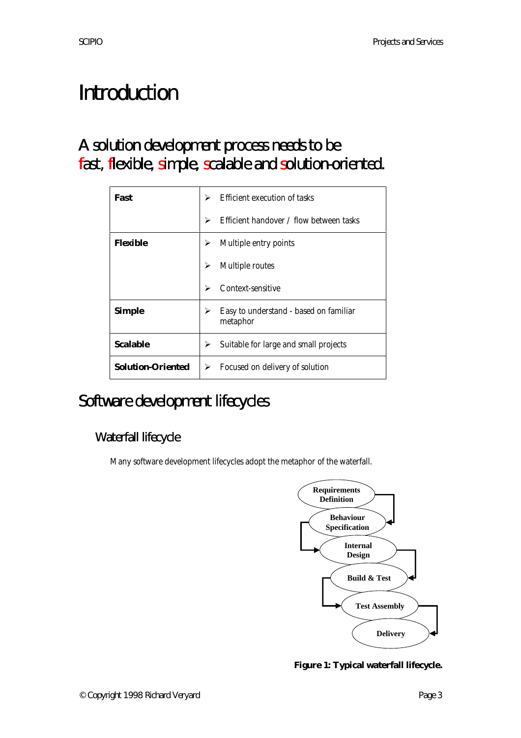## Introduction

### A solution development process needs to be fast, flexible, simple, scalable and solution-oriented.

| <b>Fast</b>              | Efficient execution of tasks<br>⋗                       |  |  |
|--------------------------|---------------------------------------------------------|--|--|
|                          | Efficient handover / flow between tasks<br>↘            |  |  |
| <b>Flexible</b>          | Multiple entry points<br>⋗                              |  |  |
|                          | Multiple routes<br>⋗                                    |  |  |
|                          | Context-sensitive<br>↘                                  |  |  |
| <b>Simple</b>            | Easy to understand - based on familiar<br>⋗<br>metaphor |  |  |
| <b>Scalable</b>          | Suitable for large and small projects                   |  |  |
| <b>Solution-Oriented</b> | Focused on delivery of solution<br>➤                    |  |  |

## Software development lifecycles

#### Waterfall lifecycle

Many software development lifecycles adopt the metaphor of the waterfall.



**Figure 1: Typical waterfall lifecycle.**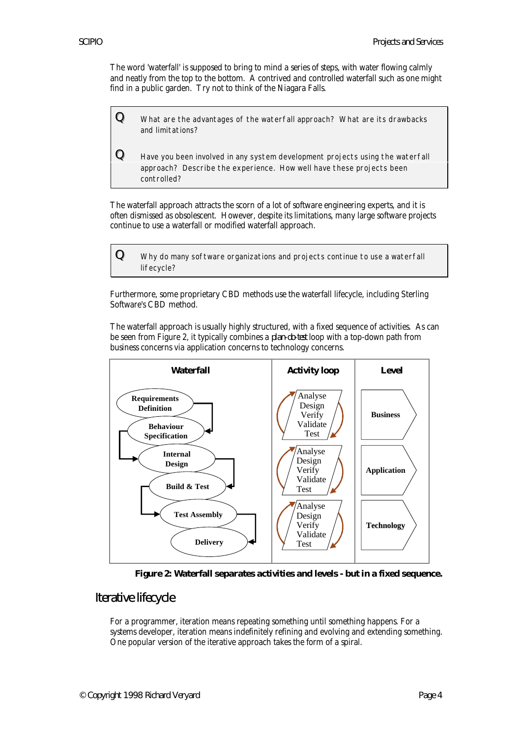The word 'waterfall' is supposed to bring to mind a series of steps, with water flowing calmly and neatly from the top to the bottom. A contrived and controlled waterfall such as one might find in a public garden. Try not to think of the Niagara Falls.

 ${\bf Q}\quad$  What are the advantages of the waterfall approach? What are its drawbacks and limitations?

 ${\bf Q}$  Have you been involved in any system development projects using the waterfall approach? Describe the experience. How well have these projects been controlled?

The waterfall approach attracts the scorn of a lot of software engineering experts, and it is often dismissed as obsolescent. However, despite its limitations, many large software projects continue to use a waterfall or modified waterfall approach.

 ${\bf Q}\quad$  Why do many software organizations and projects continue to use a waterfall lifecycle?

Furthermore, some proprietary CBD methods use the waterfall lifecycle, including Sterling Software's CBD method.

The waterfall approach is usually highly structured, with a fixed sequence of activities. As can be seen from Figure 2, it typically combines a *plan-do-test* loop with a top-down path from business concerns via application concerns to technology concerns.



**Figure 2: Waterfall separates activities and levels - but in a fixed sequence.**

#### Iterative lifecycle

For a programmer, iteration means repeating something until something happens. For a systems developer, iteration means indefinitely refining and evolving and extending something. One popular version of the iterative approach takes the form of a spiral.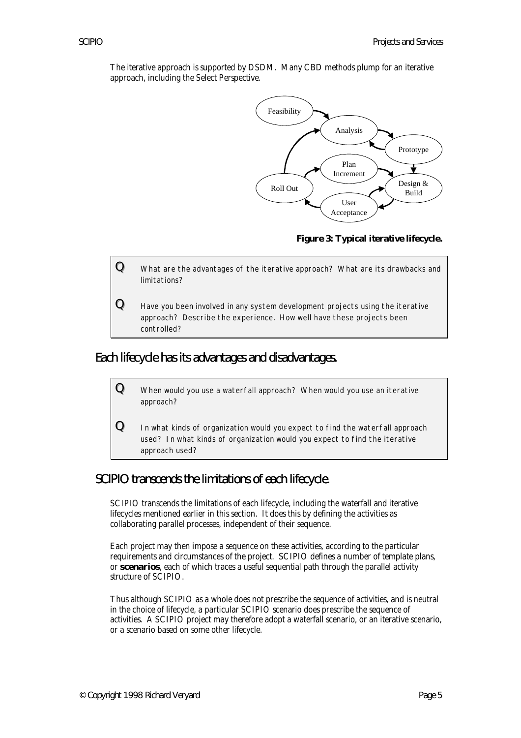The iterative approach is supported by DSDM. Many CBD methods plump for an iterative approach, including the Select Perspective.



**Figure 3: Typical iterative lifecycle.**



#### Each lifecycle has its advantages and disadvantages.



#### SCIPIO transcends the limitations of each lifecycle.

SCIPIO transcends the limitations of each lifecycle, including the waterfall and iterative lifecycles mentioned earlier in this section. It does this by defining the activities as collaborating parallel processes, independent of their sequence.

Each project may then impose a sequence on these activities, according to the particular requirements and circumstances of the project. SCIPIO defines a number of template plans, or **scenarios**, each of which traces a useful sequential path through the parallel activity structure of SCIPIO.

Thus although SCIPIO as a whole does not prescribe the sequence of activities, and is neutral in the choice of lifecycle, a particular SCIPIO scenario does prescribe the sequence of activities. A SCIPIO project may therefore adopt a waterfall scenario, or an iterative scenario, or a scenario based on some other lifecycle.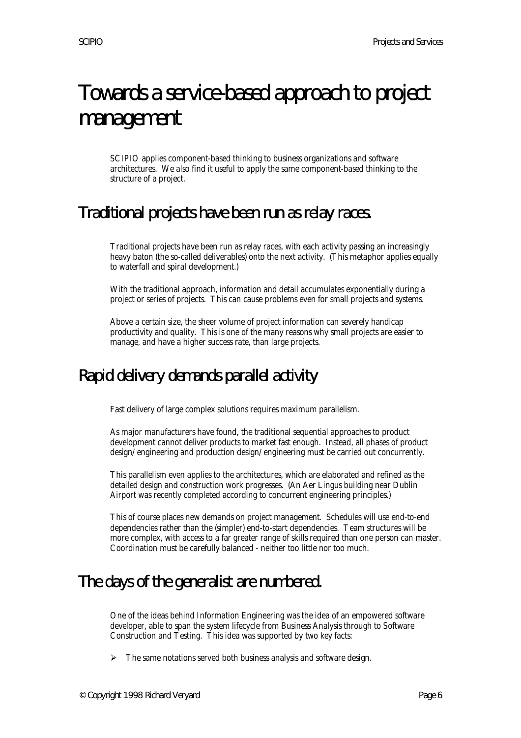## Towards a service-based approach to project management

SCIPIO applies component-based thinking to business organizations and software architectures. We also find it useful to apply the same component-based thinking to the structure of a project.

#### Traditional projects have been run as relay races.

Traditional projects have been run as relay races, with each activity passing an increasingly heavy baton (the so-called deliverables) onto the next activity. (This metaphor applies equally to waterfall and spiral development.)

With the traditional approach, information and detail accumulates exponentially during a project or series of projects. This can cause problems even for small projects and systems.

Above a certain size, the sheer volume of project information can severely handicap productivity and quality. This is one of the many reasons why small projects are easier to manage, and have a higher success rate, than large projects.

#### Rapid delivery demands parallel activity

Fast delivery of large complex solutions requires maximum parallelism.

As major manufacturers have found, the traditional sequential approaches to product development cannot deliver products to market fast enough. Instead, all phases of product design/engineering and production design/engineering must be carried out concurrently.

This parallelism even applies to the architectures, which are elaborated and refined as the detailed design and construction work progresses. (An Aer Lingus building near Dublin Airport was recently completed according to concurrent engineering principles.)

This of course places new demands on project management. Schedules will use end-to-end dependencies rather than the (simpler) end-to-start dependencies. Team structures will be more complex, with access to a far greater range of skills required than one person can master. Coordination must be carefully balanced - neither too little nor too much.

#### The days of the generalist are numbered.

One of the ideas behind Information Engineering was the idea of an empowered software developer, able to span the system lifecycle from Business Analysis through to Software Construction and Testing. This idea was supported by two key facts:

 $\triangleright$  The same notations served both business analysis and software design.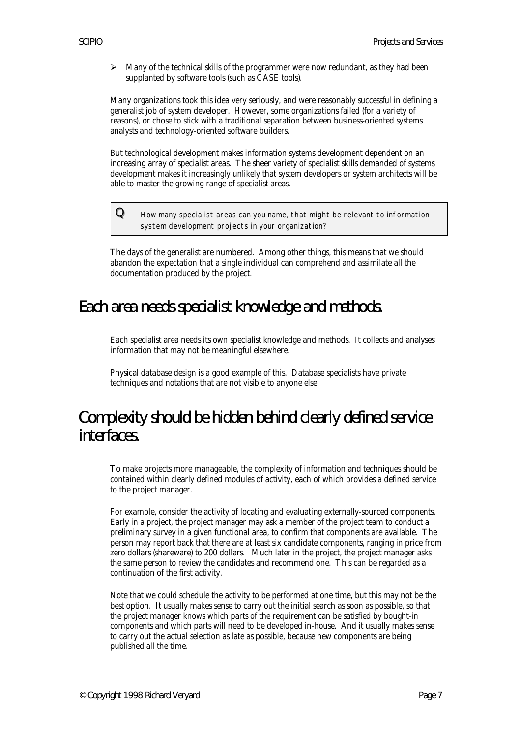$\triangleright$  Many of the technical skills of the programmer were now redundant, as they had been supplanted by software tools (such as CASE tools).

Many organizations took this idea very seriously, and were reasonably successful in defining a generalist job of system developer. However, some organizations failed (for a variety of reasons), or chose to stick with a traditional separation between business-oriented systems analysts and technology-oriented software builders.

But technological development makes information systems development dependent on an increasing array of specialist areas. The sheer variety of specialist skills demanded of systems development makes it increasingly unlikely that system developers or system architects will be able to master the growing range of specialist areas.

 ${\bf Q}\quad$  How many specialist areas can you name, that might be relevant to information system development projects in your organization?

The days of the generalist are numbered. Among other things, this means that we should abandon the expectation that a single individual can comprehend and assimilate all the documentation produced by the project.

#### Each area needs specialist knowledge and methods.

Each specialist area needs its own specialist knowledge and methods. It collects and analyses information that may not be meaningful elsewhere.

Physical database design is a good example of this. Database specialists have private techniques and notations that are not visible to anyone else.

#### Complexity should be hidden behind clearly defined service interfaces.

To make projects more manageable, the complexity of information and techniques should be contained within clearly defined modules of activity, each of which provides a defined service to the project manager.

For example, consider the activity of locating and evaluating externally-sourced components. Early in a project, the project manager may ask a member of the project team to conduct a preliminary survey in a given functional area, to confirm that components are available. The person may report back that there are at least six candidate components, ranging in price from zero dollars (shareware) to 200 dollars. Much later in the project, the project manager asks the same person to review the candidates and recommend one. This can be regarded as a continuation of the first activity.

Note that we could schedule the activity to be performed at one time, but this may not be the best option. It usually makes sense to carry out the initial search as soon as possible, so that the project manager knows which parts of the requirement can be satisfied by bought-in components and which parts will need to be developed in-house. And it usually makes sense to carry out the actual selection as late as possible, because new components are being published all the time.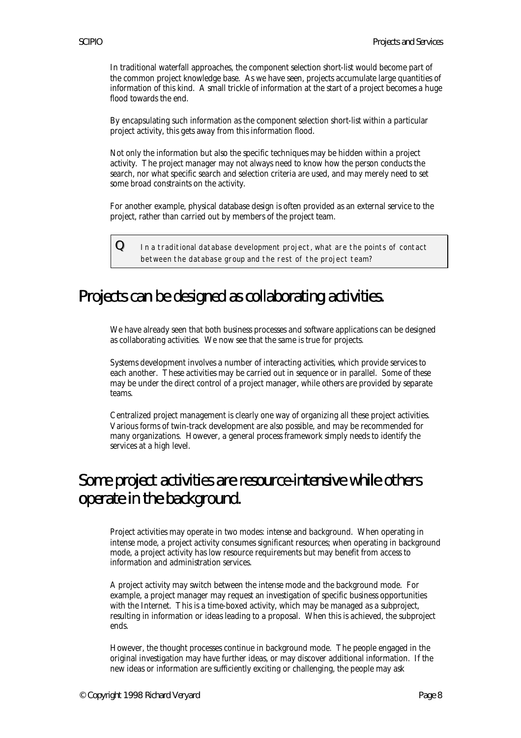In traditional waterfall approaches, the component selection short-list would become part of the common project knowledge base. As we have seen, projects accumulate large quantities of information of this kind. A small trickle of information at the start of a project becomes a huge flood towards the end.

By encapsulating such information as the component selection short-list within a particular project activity, this gets away from this information flood.

Not only the information but also the specific techniques may be hidden within a project activity. The project manager may not always need to know how the person conducts the search, nor what specific search and selection criteria are used, and may merely need to set some broad constraints on the activity.

For another example, physical database design is often provided as an external service to the project, rather than carried out by members of the project team.

 $\mathbf Q$  In a traditional database development project, what are the points of contact between the database group and the rest of the project team?

#### Projects can be designed as collaborating activities.

We have already seen that both business processes and software applications can be designed as collaborating activities. We now see that the same is true for projects.

Systems development involves a number of interacting activities, which provide services to each another. These activities may be carried out in sequence or in parallel. Some of these may be under the direct control of a project manager, while others are provided by separate teams.

Centralized project management is clearly one way of organizing all these project activities. Various forms of twin-track development are also possible, and may be recommended for many organizations. However, a general process framework simply needs to identify the services at a high level.

#### Some project activities are resource-intensive while others operate in the background.

Project activities may operate in two modes: intense and background. When operating in intense mode, a project activity consumes significant resources; when operating in background mode, a project activity has low resource requirements but may benefit from access to information and administration services.

A project activity may switch between the intense mode and the background mode. For example, a project manager may request an investigation of specific business opportunities with the Internet. This is a time-boxed activity, which may be managed as a subproject, resulting in information or ideas leading to a proposal. When this is achieved, the subproject ends.

However, the thought processes continue in background mode. The people engaged in the original investigation may have further ideas, or may discover additional information. If the new ideas or information are sufficiently exciting or challenging, the people may ask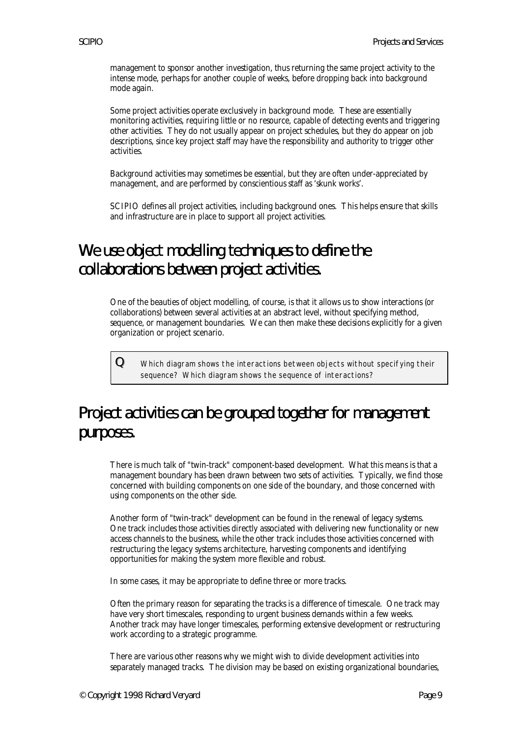management to sponsor another investigation, thus returning the same project activity to the intense mode, perhaps for another couple of weeks, before dropping back into background mode again.

Some project activities operate exclusively in background mode. These are essentially monitoring activities, requiring little or no resource, capable of detecting events and triggering other activities. They do not usually appear on project schedules, but they do appear on job descriptions, since key project staff may have the responsibility and authority to trigger other activities.

Background activities may sometimes be essential, but they are often under-appreciated by management, and are performed by conscientious staff as 'skunk works'.

SCIPIO defines all project activities, including background ones. This helps ensure that skills and infrastructure are in place to support all project activities.

### We use object modelling techniques to define the collaborations between project activities.

One of the beauties of object modelling, of course, is that it allows us to show interactions (or collaborations) between several activities at an abstract level, without specifying method, sequence, or management boundaries. We can then make these decisions explicitly for a given organization or project scenario.

 ${\bf Q}\quad$  Which diagram shows the interactions between objects without specifying their sequence? Which diagram shows the sequence of interactions?

### Project activities can be grouped together for management purposes.

There is much talk of "twin-track" component-based development. What this means is that a management boundary has been drawn between two sets of activities. Typically, we find those concerned with building components on one side of the boundary, and those concerned with using components on the other side.

Another form of "twin-track" development can be found in the renewal of legacy systems. One track includes those activities directly associated with delivering new functionality or new access channels to the business, while the other track includes those activities concerned with restructuring the legacy systems architecture, harvesting components and identifying opportunities for making the system more flexible and robust.

In some cases, it may be appropriate to define three or more tracks.

Often the primary reason for separating the tracks is a difference of timescale. One track may have very short timescales, responding to urgent business demands within a few weeks. Another track may have longer timescales, performing extensive development or restructuring work according to a strategic programme.

There are various other reasons why we might wish to divide development activities into separately managed tracks. The division may be based on existing organizational boundaries,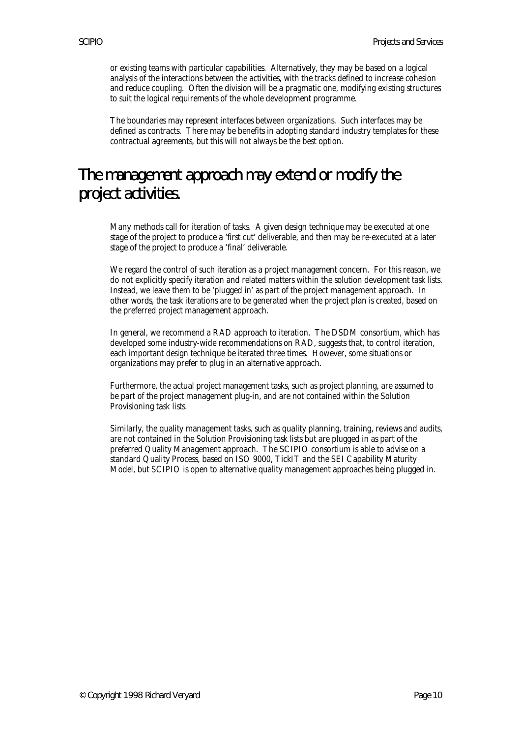or existing teams with particular capabilities. Alternatively, they may be based on a logical analysis of the interactions between the activities, with the tracks defined to increase cohesion and reduce coupling. Often the division will be a pragmatic one, modifying existing structures to suit the logical requirements of the whole development programme.

The boundaries may represent interfaces between organizations. Such interfaces may be defined as contracts. There may be benefits in adopting standard industry templates for these contractual agreements, but this will not always be the best option.

#### The management approach may extend or modify the project activities.

Many methods call for iteration of tasks. A given design technique may be executed at one stage of the project to produce a 'first cut' deliverable, and then may be re-executed at a later stage of the project to produce a 'final' deliverable.

We regard the control of such iteration as a project management concern. For this reason, we do not explicitly specify iteration and related matters within the solution development task lists. Instead, we leave them to be 'plugged in' as part of the project management approach. In other words, the task iterations are to be generated when the project plan is created, based on the preferred project management approach.

In general, we recommend a RAD approach to iteration. The DSDM consortium, which has developed some industry-wide recommendations on RAD, suggests that, to control iteration, each important design technique be iterated three times. However, some situations or organizations may prefer to plug in an alternative approach.

Furthermore, the actual project management tasks, such as project planning, are assumed to be part of the project management plug-in, and are not contained within the Solution Provisioning task lists.

Similarly, the quality management tasks, such as quality planning, training, reviews and audits, are not contained in the Solution Provisioning task lists but are plugged in as part of the preferred Quality Management approach. The SCIPIO consortium is able to advise on a standard Quality Process, based on ISO 9000, TickIT and the SEI Capability Maturity Model, but SCIPIO is open to alternative quality management approaches being plugged in.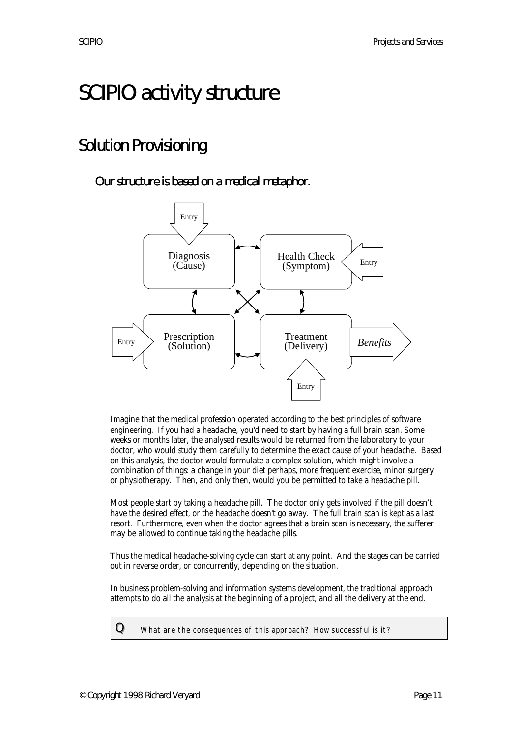## SCIPIO activity structure

### Solution Provisioning

Our structure is based on a medical metaphor.



Imagine that the medical profession operated according to the best principles of software engineering. If you had a headache, you'd need to start by having a full brain scan. Some weeks or months later, the analysed results would be returned from the laboratory to your doctor, who would study them carefully to determine the exact cause of your headache. Based on this analysis, the doctor would formulate a complex solution, which might involve a combination of things: a change in your diet perhaps, more frequent exercise, minor surgery or physiotherapy. Then, and only then, would you be permitted to take a headache pill.

Most people start by taking a headache pill. The doctor only gets involved if the pill doesn't have the desired effect, or the headache doesn't go away. The full brain scan is kept as a last resort. Furthermore, even when the doctor agrees that a brain scan is necessary, the sufferer may be allowed to continue taking the headache pills.

Thus the medical headache-solving cycle can start at any point. And the stages can be carried out in reverse order, or concurrently, depending on the situation.

In business problem-solving and information systems development, the traditional approach attempts to do all the analysis at the beginning of a project, and all the delivery at the end.

 ${\bf Q}$  What are the consequences of this approach? How successful is it?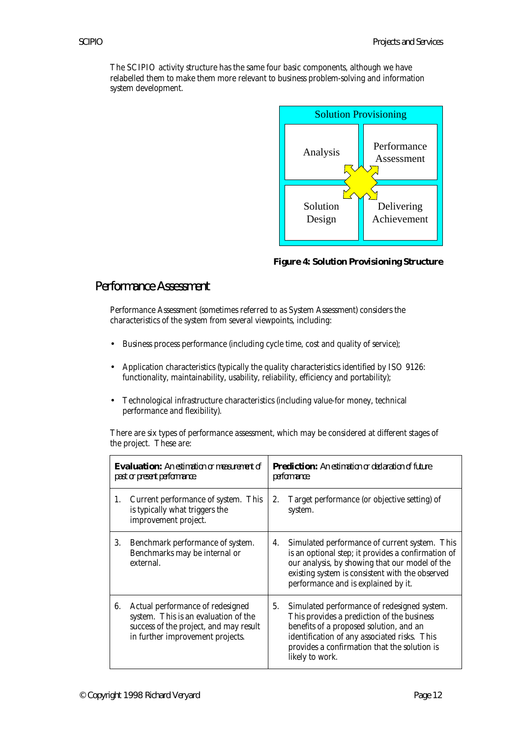The SCIPIO activity structure has the same four basic components, although we have relabelled them to make them more relevant to business problem-solving and information system development.



**Figure 4: Solution Provisioning Structure**

#### Performance Assessment

Performance Assessment (sometimes referred to as System Assessment) considers the characteristics of the system from several viewpoints, including:

- Business process performance (including cycle time, cost and quality of service);
- Application characteristics (typically the quality characteristics identified by ISO 9126: functionality, maintainability, usability, reliability, efficiency and portability);
- Technological infrastructure characteristics (including value-for money, technical performance and flexibility).

There are six types of performance assessment, which may be considered at different stages of the project. These are:

| <b>Evaluation:</b> An estimation or measurement of<br>past or present performance. |                                                                                                                                                        | <b>Prediction:</b> An estimation or declaration of future<br><i>performance.</i> |                                                                                                                                                                                                                                                         |  |
|------------------------------------------------------------------------------------|--------------------------------------------------------------------------------------------------------------------------------------------------------|----------------------------------------------------------------------------------|---------------------------------------------------------------------------------------------------------------------------------------------------------------------------------------------------------------------------------------------------------|--|
| 1.                                                                                 | Current performance of system. This<br>is typically what triggers the<br>improvement project.                                                          | 2.                                                                               | Target performance (or objective setting) of<br>system.                                                                                                                                                                                                 |  |
| 3.                                                                                 | Benchmark performance of system.<br>Benchmarks may be internal or<br>external.                                                                         | 4.                                                                               | Simulated performance of current system. This<br>is an optional step; it provides a confirmation of<br>our analysis, by showing that our model of the<br>existing system is consistent with the observed<br>performance and is explained by it.         |  |
| 6.                                                                                 | Actual performance of redesigned<br>system. This is an evaluation of the<br>success of the project, and may result<br>in further improvement projects. | 5.                                                                               | Simulated performance of redesigned system.<br>This provides a prediction of the business<br>benefits of a proposed solution, and an<br>identification of any associated risks. This<br>provides a confirmation that the solution is<br>likely to work. |  |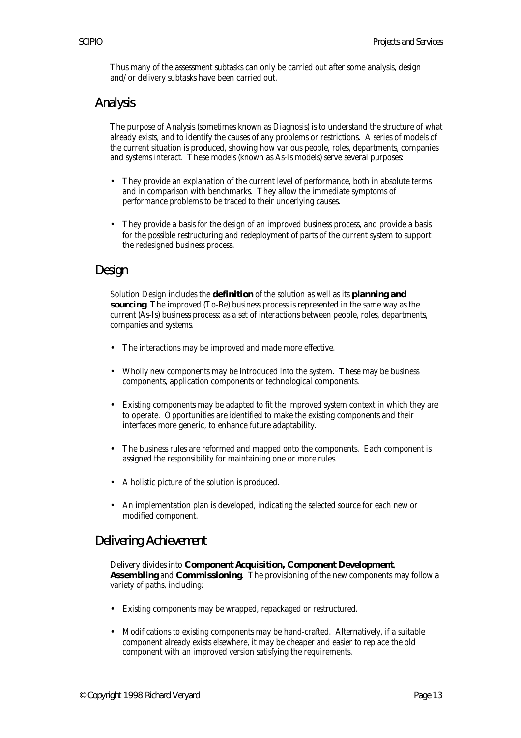Thus many of the assessment subtasks can only be carried out after some analysis, design and/or delivery subtasks have been carried out.

#### Analysis

The purpose of Analysis (sometimes known as Diagnosis) is to understand the structure of what already exists, and to identify the causes of any problems or restrictions. A series of models of the current situation is produced, showing how various people, roles, departments, companies and systems interact. These models (known as As-Is models) serve several purposes:

- They provide an explanation of the current level of performance, both in absolute terms and in comparison with benchmarks. They allow the immediate symptoms of performance problems to be traced to their underlying causes.
- They provide a basis for the design of an improved business process, and provide a basis for the possible restructuring and redeployment of parts of the current system to support the redesigned business process.

#### Design

Solution Design includes the **definition** of the solution as well as its **planning and sourcing**. The improved (To-Be) business process is represented in the same way as the current (As-Is) business process: as a set of interactions between people, roles, departments, companies and systems.

- The interactions may be improved and made more effective.
- Wholly new components may be introduced into the system. These may be business components, application components or technological components.
- Existing components may be adapted to fit the improved system context in which they are to operate. Opportunities are identified to make the existing components and their interfaces more generic, to enhance future adaptability.
- The business rules are reformed and mapped onto the components. Each component is assigned the responsibility for maintaining one or more rules.
- A holistic picture of the solution is produced.
- An implementation plan is developed, indicating the selected source for each new or modified component.

#### Delivering Achievement

Delivery divides into **Component Acquisition, Component Development**, **Assembling** and **Commissioning**. The provisioning of the new components may follow a variety of paths, including:

- Existing components may be wrapped, repackaged or restructured.
- Modifications to existing components may be hand-crafted. Alternatively, if a suitable component already exists elsewhere, it may be cheaper and easier to replace the old component with an improved version satisfying the requirements.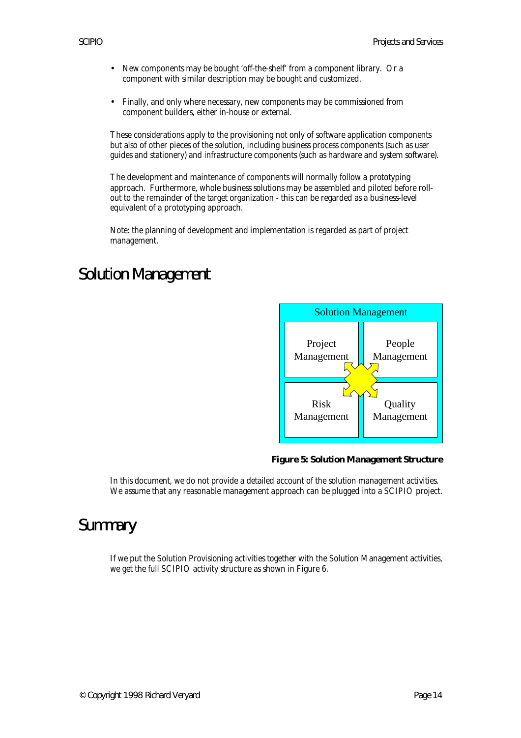- New components may be bought 'off-the-shelf' from a component library. Or a component with similar description may be bought and customized.
- Finally, and only where necessary, new components may be commissioned from component builders, either in-house or external.

These considerations apply to the provisioning not only of software application components but also of other pieces of the solution, including business process components (such as user guides and stationery) and infrastructure components (such as hardware and system software).

The development and maintenance of components will normally follow a prototyping approach. Furthermore, whole business solutions may be assembled and piloted before rollout to the remainder of the target organization - this can be regarded as a business-level equivalent of a prototyping approach.

Note: the planning of development and implementation is regarded as part of project management.

#### Solution Management



**Figure 5: Solution Management Structure**

In this document, we do not provide a detailed account of the solution management activities. We assume that any reasonable management approach can be plugged into a SCIPIO project.

#### **Summary**

If we put the Solution Provisioning activities together with the Solution Management activities, we get the full SCIPIO activity structure as shown in Figure 6.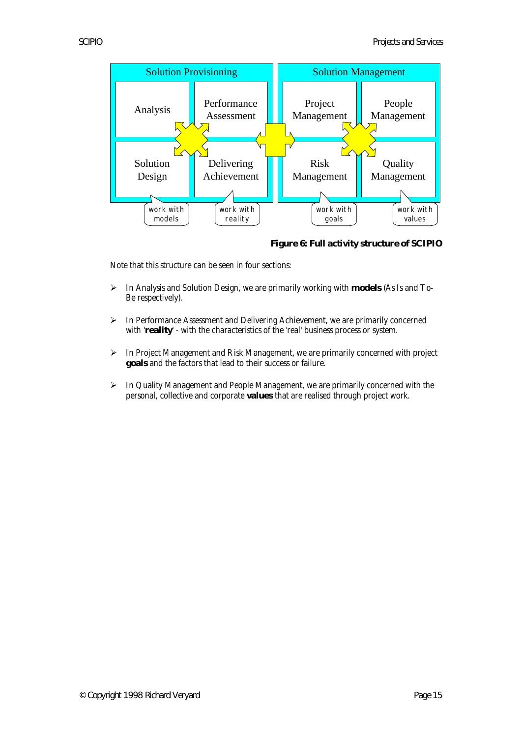

**Figure 6: Full activity structure of SCIPIO**

Note that this structure can be seen in four sections:

- ÿ In Analysis and Solution Design, we are primarily working with **models** (As Is and To-Be respectively).
- > In Performance Assessment and Delivering Achievement, we are primarily concerned with 'reality' - with the characteristics of the 'real' business process or system.
- ÿ In Project Management and Risk Management, we are primarily concerned with project **goals** and the factors that lead to their success or failure.
- $\triangleright$  In Quality Management and People Management, we are primarily concerned with the personal, collective and corporate **values** that are realised through project work.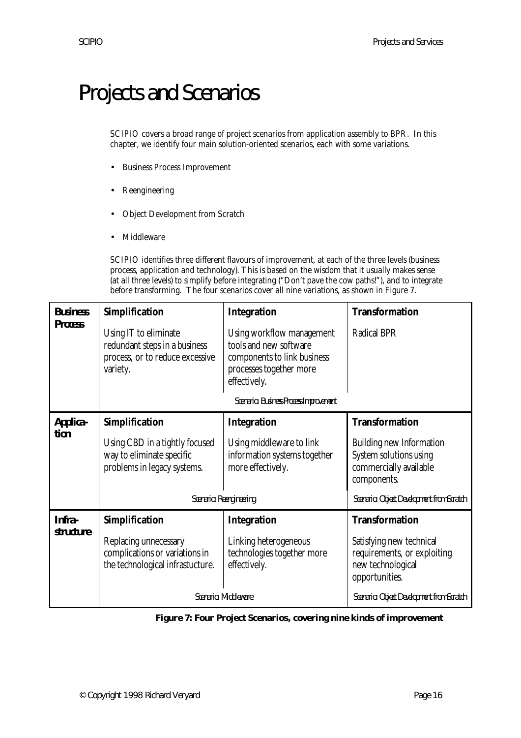## Projects and Scenarios

SCIPIO covers a broad range of project scenarios from application assembly to BPR. In this chapter, we identify four main solution-oriented scenarios, each with some variations.

- Business Process Improvement
- Reengineering
- Object Development from Scratch
- Middleware

SCIPIO identifies three different flavours of improvement, at each of the three levels (business process, application and technology). This is based on the wisdom that it usually makes sense (at all three levels) to simplify before integrating ("Don't pave the cow paths!"), and to integrate before transforming. The four scenarios cover all nine variations, as shown in Figure 7.

| <b>Business</b>  | <b>Simplification</b>                                                                                 | <b>Integration</b>                                                                                                            | <b>Transformation</b>                                                                              |  |  |  |
|------------------|-------------------------------------------------------------------------------------------------------|-------------------------------------------------------------------------------------------------------------------------------|----------------------------------------------------------------------------------------------------|--|--|--|
| <b>Process</b>   | Using IT to eliminate<br>redundant steps in a business<br>process, or to reduce excessive<br>variety. | Using workflow management<br>tools and new software<br>components to link business<br>processes together more<br>effectively. | <b>Radical BPR</b>                                                                                 |  |  |  |
|                  | Scenario: Business Process Improvement                                                                |                                                                                                                               |                                                                                                    |  |  |  |
| Applica-         | <b>Simplification</b>                                                                                 | <b>Integration</b>                                                                                                            | <b>Transformation</b>                                                                              |  |  |  |
| tion             | Using CBD in a tightly focused<br>way to eliminate specific<br>problems in legacy systems.            | Using middleware to link<br>information systems together<br>more effectively.                                                 | <b>Building new Information</b><br>System solutions using<br>commercially available<br>components. |  |  |  |
|                  | Scenario: Reengineering                                                                               | Scenario: Object Development from Scratch                                                                                     |                                                                                                    |  |  |  |
| Infra-           | <b>Simplification</b>                                                                                 | <b>Integration</b>                                                                                                            | <b>Transformation</b>                                                                              |  |  |  |
| <b>structure</b> | Replacing unnecessary<br>complications or variations in<br>the technological infrastucture.           | Linking heterogeneous<br>technologies together more<br>effectively.                                                           | Satisfying new technical<br>requirements, or exploiting<br>new technological<br>opportunities.     |  |  |  |
|                  | Scenario: Middleware                                                                                  | Scenario: Object Development from Scratch                                                                                     |                                                                                                    |  |  |  |

**Figure 7: Four Project Scenarios, covering nine kinds of improvement**